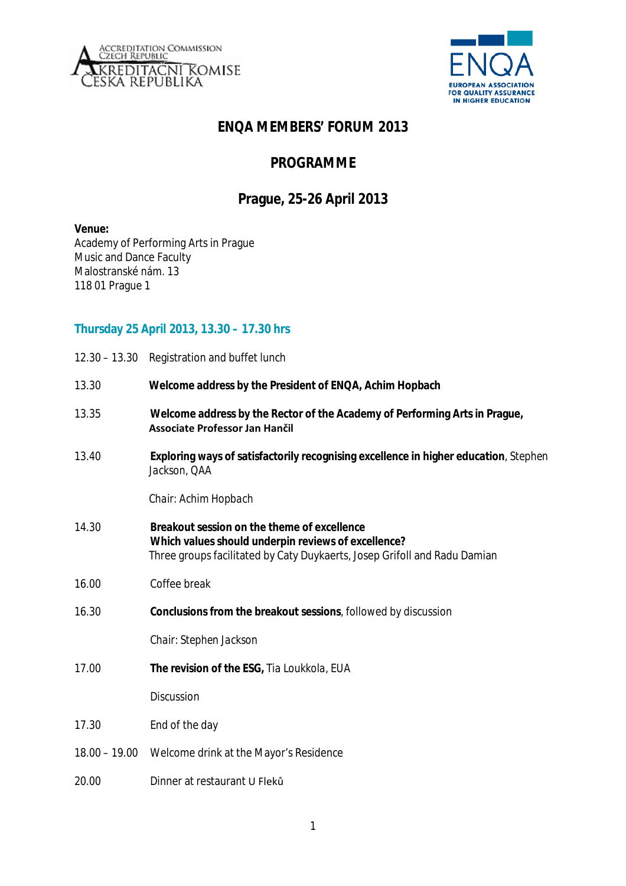



# **ENQA MEMBERS' FORUM 2013**

## **PROGRAMME**

## **Prague, 25-26 April 2013**

#### **Venue:**

Academy of Performing Arts in Prague Music and Dance Faculty Malostranské nám. 13 118 01 Prague 1

## **Thursday 25 April 2013, 13.30 – 17.30 hrs**

|                                                                                                               | 12.30 - 13.30 Registration and buffet lunch                                                                                                                                     |  |
|---------------------------------------------------------------------------------------------------------------|---------------------------------------------------------------------------------------------------------------------------------------------------------------------------------|--|
| 13.30                                                                                                         | Welcome address by the President of ENQA, Achim Hopbach                                                                                                                         |  |
| 13.35                                                                                                         | Welcome address by the Rector of the Academy of Performing Arts in Prague,<br>Associate Professor Jan Hančil                                                                    |  |
| Exploring ways of satisfactorily recognising excellence in higher education, Stephen<br>13.40<br>Jackson, QAA |                                                                                                                                                                                 |  |
|                                                                                                               | Chair: Achim Hopbach                                                                                                                                                            |  |
| 14.30                                                                                                         | Breakout session on the theme of excellence<br>Which values should underpin reviews of excellence?<br>Three groups facilitated by Caty Duykaerts, Josep Grifoll and Radu Damian |  |
| 16.00                                                                                                         | Coffee break                                                                                                                                                                    |  |
| 16.30                                                                                                         | Conclusions from the breakout sessions, followed by discussion                                                                                                                  |  |
|                                                                                                               | Chair: Stephen Jackson                                                                                                                                                          |  |
| 17.00                                                                                                         | The revision of the ESG, Tia Loukkola, EUA                                                                                                                                      |  |
|                                                                                                               | Discussion                                                                                                                                                                      |  |
| 17.30                                                                                                         | End of the day                                                                                                                                                                  |  |
| $18.00 - 19.00$                                                                                               | Welcome drink at the Mayor's Residence                                                                                                                                          |  |
| 20.00                                                                                                         | Dinner at restaurant U Fleků                                                                                                                                                    |  |